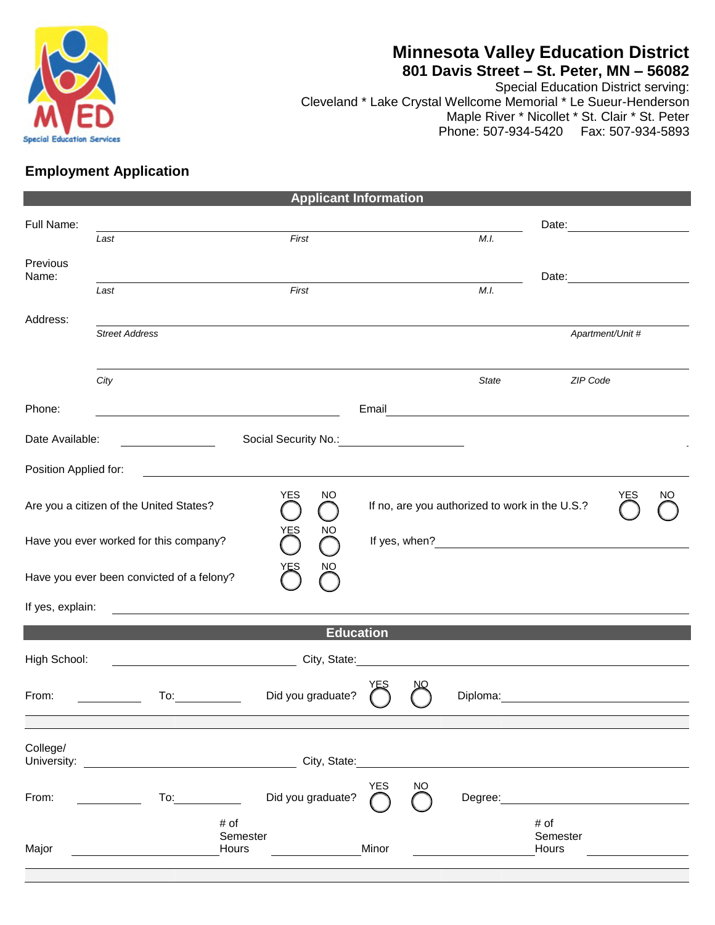

# **Minnesota Valley Education District**

## **801 Davis Street – St. Peter, MN – 56082**

Special Education District serving: Cleveland \* Lake Crystal Wellcome Memorial \* Le Sueur-Henderson Maple River \* Nicollet \* St. Clair \* St. Peter Phone: 507-934-5420 Fax: 507-934-5893

# **Employment Application**

| <b>Applicant Information</b>                        |                                                                                                                                                                                                                                |                                                                                                                      |            |     |                                                |                                                                                                                                                                                                                               |                  |    |
|-----------------------------------------------------|--------------------------------------------------------------------------------------------------------------------------------------------------------------------------------------------------------------------------------|----------------------------------------------------------------------------------------------------------------------|------------|-----|------------------------------------------------|-------------------------------------------------------------------------------------------------------------------------------------------------------------------------------------------------------------------------------|------------------|----|
| Full Name:                                          |                                                                                                                                                                                                                                |                                                                                                                      |            |     |                                                |                                                                                                                                                                                                                               |                  |    |
|                                                     | Last                                                                                                                                                                                                                           | First                                                                                                                |            |     | M.I.                                           |                                                                                                                                                                                                                               |                  |    |
| Previous<br>Name:                                   |                                                                                                                                                                                                                                |                                                                                                                      |            |     |                                                | Date:                                                                                                                                                                                                                         |                  |    |
|                                                     | Last                                                                                                                                                                                                                           | First                                                                                                                |            |     | M.I.                                           |                                                                                                                                                                                                                               |                  |    |
| Address:                                            |                                                                                                                                                                                                                                |                                                                                                                      |            |     |                                                |                                                                                                                                                                                                                               |                  |    |
|                                                     | <b>Street Address</b>                                                                                                                                                                                                          |                                                                                                                      |            |     |                                                |                                                                                                                                                                                                                               | Apartment/Unit # |    |
|                                                     |                                                                                                                                                                                                                                |                                                                                                                      |            |     |                                                |                                                                                                                                                                                                                               |                  |    |
|                                                     | City                                                                                                                                                                                                                           |                                                                                                                      |            |     | State                                          | ZIP Code                                                                                                                                                                                                                      |                  |    |
| Phone:                                              |                                                                                                                                                                                                                                | <u> Alexandria de la contrada de la contrada de la contrada de la contrada de la contrada de la contrada de la c</u> |            |     | Email <u>___________________________</u>       |                                                                                                                                                                                                                               |                  |    |
| Date Available:                                     |                                                                                                                                                                                                                                |                                                                                                                      |            |     |                                                |                                                                                                                                                                                                                               |                  |    |
| Position Applied for:                               |                                                                                                                                                                                                                                |                                                                                                                      |            |     |                                                |                                                                                                                                                                                                                               |                  |    |
|                                                     | Are you a citizen of the United States?                                                                                                                                                                                        | <b>YES</b><br>NO.                                                                                                    |            |     | If no, are you authorized to work in the U.S.? |                                                                                                                                                                                                                               | YES              | NΟ |
| YES<br>NO<br>Have you ever worked for this company? |                                                                                                                                                                                                                                |                                                                                                                      |            |     |                                                |                                                                                                                                                                                                                               |                  |    |
|                                                     | Have you ever been convicted of a felony?                                                                                                                                                                                      | NO.                                                                                                                  |            |     |                                                |                                                                                                                                                                                                                               |                  |    |
| If yes, explain:                                    | <u> 1989 - Johann Stoff, deutscher Stoffen und der Stoffen und der Stoffen und der Stoffen und der Stoffen und der </u>                                                                                                        |                                                                                                                      |            |     |                                                |                                                                                                                                                                                                                               |                  |    |
|                                                     |                                                                                                                                                                                                                                | <b>Education</b>                                                                                                     |            |     |                                                |                                                                                                                                                                                                                               |                  |    |
| High School:                                        |                                                                                                                                                                                                                                | City, State:                                                                                                         |            |     |                                                |                                                                                                                                                                                                                               |                  |    |
| From:                                               | To: and the state of the state of the state of the state of the state of the state of the state of the state of the state of the state of the state of the state of the state of the state of the state of the state of the st | Did you graduate?                                                                                                    |            |     |                                                | Diploma: 2000 Company Company Company Company Company Company Company Company Company Company Company Company Company Company Company Company Company Company Company Company Company Company Company Company Company Company |                  |    |
| College/                                            |                                                                                                                                                                                                                                |                                                                                                                      |            |     |                                                |                                                                                                                                                                                                                               |                  |    |
|                                                     | University: University:                                                                                                                                                                                                        | City, State: Williams                                                                                                |            |     |                                                |                                                                                                                                                                                                                               |                  |    |
| From:                                               | To: and the state of the state of the state of the state of the state of the state of the state of the state o                                                                                                                 | Did you graduate?                                                                                                    | <b>YES</b> | NO. | Degree:                                        |                                                                                                                                                                                                                               |                  |    |
|                                                     |                                                                                                                                                                                                                                | # of<br>Semester                                                                                                     | Minor      |     |                                                | # of<br>Semester                                                                                                                                                                                                              |                  |    |
| Major                                               | <u> 1989 - Jan Stone, Amerikaansk kon</u>                                                                                                                                                                                      | Hours                                                                                                                |            |     |                                                | Hours                                                                                                                                                                                                                         |                  |    |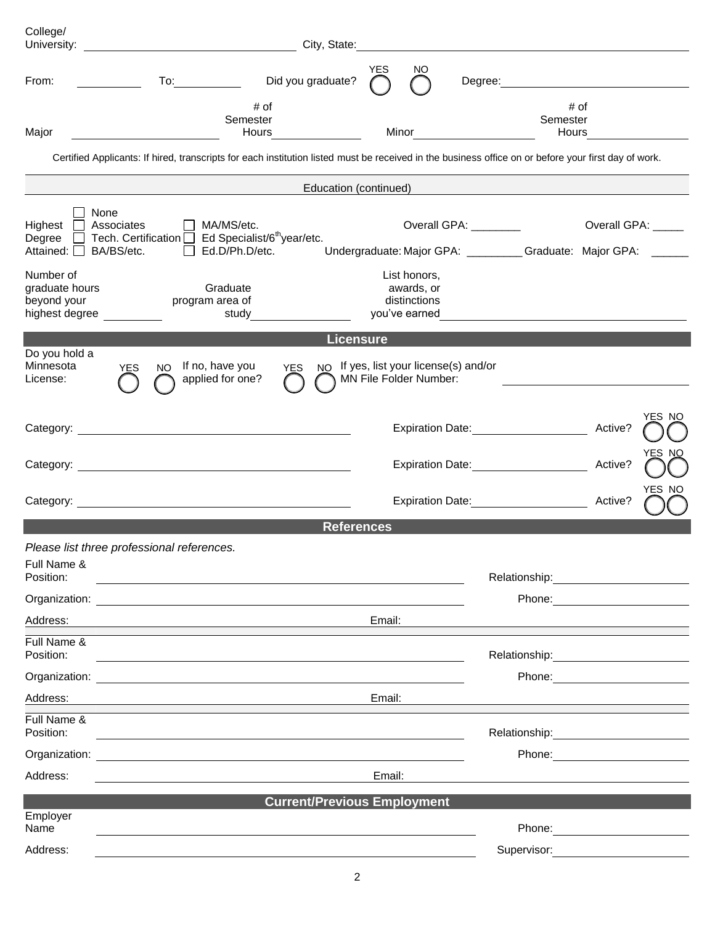| College/<br>University:                                                |                                                                                                                                                      | City, State:                       |            |                                                             |                                                                                          |                                                                                                                                                                                                                                |                                                   |        |
|------------------------------------------------------------------------|------------------------------------------------------------------------------------------------------------------------------------------------------|------------------------------------|------------|-------------------------------------------------------------|------------------------------------------------------------------------------------------|--------------------------------------------------------------------------------------------------------------------------------------------------------------------------------------------------------------------------------|---------------------------------------------------|--------|
| From:                                                                  | $\frac{1}{\sqrt{1-\frac{1}{2}}\sqrt{1-\frac{1}{2}}\left(\frac{1}{2}-\frac{1}{2}\right)}$                                                             | Did you graduate?                  | <b>YES</b> | ΝO                                                          | Degree:                                                                                  |                                                                                                                                                                                                                                | <u> 1989 - Johann Barbara, martxa alemaniar a</u> |        |
| Major                                                                  | # of<br>Semester<br>Hours                                                                                                                            |                                    | Minor      |                                                             |                                                                                          | Semester<br>Hours                                                                                                                                                                                                              | # of                                              |        |
|                                                                        | Certified Applicants: If hired, transcripts for each institution listed must be received in the business office on or before your first day of work. |                                    |            |                                                             |                                                                                          |                                                                                                                                                                                                                                |                                                   |        |
|                                                                        |                                                                                                                                                      | Education (continued)              |            |                                                             |                                                                                          |                                                                                                                                                                                                                                |                                                   |        |
| None<br>Highest $\Box$<br>Associates<br>Attained: $\Box$<br>BA/BS/etc. | $\Box$ MA/MS/etc.<br>Degree $\Box$ Tech. Certification $\Box$ Ed Specialist/6 <sup>th</sup> year/etc.<br>Ed.D/Ph.D/etc.                              |                                    |            |                                                             | Overall GPA: ________<br>Undergraduate: Major GPA: __________Graduate: Major GPA: ______ |                                                                                                                                                                                                                                | Overall GPA: ____                                 |        |
| Number of<br>graduate hours<br>beyond your<br>highest degree           | Graduate<br>program area of<br>study                                                                                                                 |                                    |            | List honors,<br>awards, or<br>distinctions<br>you've earned |                                                                                          |                                                                                                                                                                                                                                |                                                   |        |
|                                                                        |                                                                                                                                                      | <b>Licensure</b>                   |            |                                                             |                                                                                          |                                                                                                                                                                                                                                |                                                   |        |
| Do you hold a<br>Minnesota<br>License:                                 | If no, have you<br><b>YES</b><br>NO.<br>applied for one?                                                                                             | <b>YES</b>                         |            | MN File Folder Number:                                      | NO If yes, list your license(s) and/or                                                   |                                                                                                                                                                                                                                |                                                   |        |
|                                                                        |                                                                                                                                                      |                                    |            |                                                             | Expiration Date: Expiration Date:                                                        |                                                                                                                                                                                                                                | Active?                                           | YES NO |
|                                                                        |                                                                                                                                                      |                                    |            |                                                             | Expiration Date: Expiration Date:                                                        |                                                                                                                                                                                                                                | Active?                                           | YES NO |
|                                                                        |                                                                                                                                                      |                                    |            |                                                             | Expiration Date: Management Control Date:                                                |                                                                                                                                                                                                                                | Active?                                           | YES NO |
|                                                                        |                                                                                                                                                      | <b>References</b>                  |            |                                                             |                                                                                          |                                                                                                                                                                                                                                |                                                   |        |
|                                                                        | Please list three professional references.                                                                                                           |                                    |            |                                                             |                                                                                          |                                                                                                                                                                                                                                |                                                   |        |
| Full Name &<br>Position:                                               |                                                                                                                                                      |                                    |            |                                                             |                                                                                          | Relationship: 2000                                                                                                                                                                                                             |                                                   |        |
|                                                                        |                                                                                                                                                      |                                    |            |                                                             |                                                                                          | Phone: <u>___________________</u>                                                                                                                                                                                              |                                                   |        |
| Address:                                                               |                                                                                                                                                      |                                    | Email:     |                                                             |                                                                                          |                                                                                                                                                                                                                                |                                                   |        |
| Full Name &<br>Position:                                               |                                                                                                                                                      |                                    |            |                                                             |                                                                                          |                                                                                                                                                                                                                                |                                                   |        |
| Organization:                                                          | <u> 1980 - Jan Samuel Barbara, margaret eta idazlea (h. 1980).</u>                                                                                   |                                    |            |                                                             |                                                                                          | Phone: The contract of the contract of the contract of the contract of the contract of the contract of the contract of the contract of the contract of the contract of the contract of the contract of the contract of the con |                                                   |        |
| Address:                                                               |                                                                                                                                                      |                                    | Email:     |                                                             |                                                                                          |                                                                                                                                                                                                                                |                                                   |        |
| Full Name &<br>Position:                                               |                                                                                                                                                      |                                    |            |                                                             |                                                                                          |                                                                                                                                                                                                                                |                                                   |        |
|                                                                        |                                                                                                                                                      |                                    |            |                                                             |                                                                                          |                                                                                                                                                                                                                                |                                                   |        |
| Address:                                                               |                                                                                                                                                      |                                    | Email:     |                                                             |                                                                                          |                                                                                                                                                                                                                                |                                                   |        |
|                                                                        |                                                                                                                                                      | <b>Current/Previous Employment</b> |            |                                                             |                                                                                          |                                                                                                                                                                                                                                |                                                   |        |
| Employer<br>Name                                                       |                                                                                                                                                      |                                    |            |                                                             |                                                                                          |                                                                                                                                                                                                                                |                                                   |        |
| Address:                                                               |                                                                                                                                                      |                                    |            |                                                             |                                                                                          | Supervisor:                                                                                                                                                                                                                    |                                                   |        |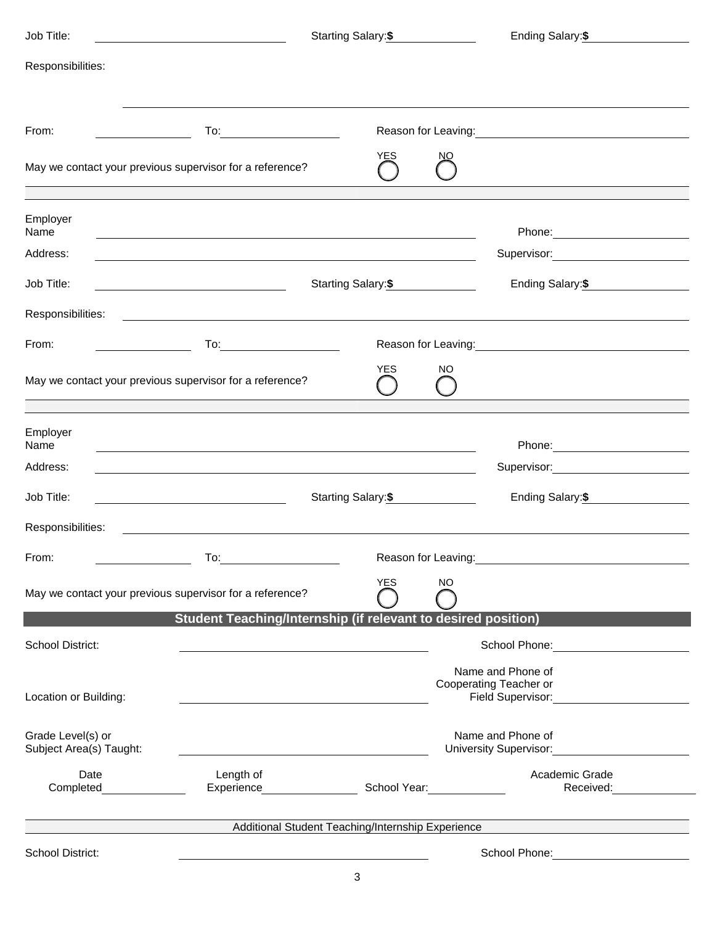| Job Title:                                               |                                                                                                                       | Starting Salary:\$  |           | Ending Salary: \$                                                                                                                                                                                                              |  |  |
|----------------------------------------------------------|-----------------------------------------------------------------------------------------------------------------------|---------------------|-----------|--------------------------------------------------------------------------------------------------------------------------------------------------------------------------------------------------------------------------------|--|--|
| Responsibilities:                                        |                                                                                                                       |                     |           |                                                                                                                                                                                                                                |  |  |
| From:                                                    |                                                                                                                       |                     |           | Reason for Leaving: Note and the set of the set of the set of the set of the set of the set of the set of the set of the set of the set of the set of the set of the set of the set of the set of the set of the set of the se |  |  |
| May we contact your previous supervisor for a reference? |                                                                                                                       | YES                 | NΟ        |                                                                                                                                                                                                                                |  |  |
| Employer<br>Name                                         |                                                                                                                       |                     |           | Phone: 2008 2010 2010 2010 2010 2021 2022 2023 2024 2022 2023 2024 2022 2023 2024 2025 2026 2027 2028 2021 20                                                                                                                  |  |  |
| Address:                                                 |                                                                                                                       |                     |           | Supervisor: Victor Contract Contract Contract Contract Contract Contract Contract Contract Contract Contract Co                                                                                                                |  |  |
| Job Title:                                               | <u> 1989 - Johann Barn, mars ann an t-Amhain an t-Amhain an t-Amhain an t-Amhain an t-Amhain an t-Amhain an t-Amh</u> | Starting Salary:\$  |           | Ending Salary: \$                                                                                                                                                                                                              |  |  |
| Responsibilities:                                        | <u> 1989 - Johann Barbara, martxa eta idazlea (h. 1989).</u>                                                          |                     |           |                                                                                                                                                                                                                                |  |  |
| From:                                                    |                                                                                                                       |                     |           |                                                                                                                                                                                                                                |  |  |
| May we contact your previous supervisor for a reference? |                                                                                                                       | <b>YES</b>          | <b>NO</b> |                                                                                                                                                                                                                                |  |  |
| Employer<br>Name                                         | and the control of the control of the control of the control of the control of the control of the control of the      |                     |           |                                                                                                                                                                                                                                |  |  |
| Address:                                                 |                                                                                                                       |                     |           | Supervisor: Victor Contract Contract Contract Contract Contract Contract Contract Contract Contract Contract Co                                                                                                                |  |  |
| Job Title:                                               | <u> 1980 - Johann Barbara, martin a</u>                                                                               | Starting Salary:\$  |           | Ending Salary:\$                                                                                                                                                                                                               |  |  |
| Responsibilities:                                        | <u> 1989 - Jan Samuel Barbara, martin da shekara ta 1989 - An tsara tsara tsara tsara tsara tsara tsara tsara tsa</u> |                     |           |                                                                                                                                                                                                                                |  |  |
| From:                                                    | To:                                                                                                                   | Reason for Leaving: |           |                                                                                                                                                                                                                                |  |  |
| May we contact your previous supervisor for a reference? |                                                                                                                       | <b>YES</b>          | <b>NO</b> |                                                                                                                                                                                                                                |  |  |
|                                                          | <b>Student Teaching/Internship (if relevant to desired position)</b>                                                  |                     |           |                                                                                                                                                                                                                                |  |  |
| School District:                                         |                                                                                                                       |                     |           | School Phone:                                                                                                                                                                                                                  |  |  |
| Location or Building:                                    |                                                                                                                       |                     |           | Name and Phone of<br>Cooperating Teacher or<br>Field Supervisor:                                                                                                                                                               |  |  |
| Grade Level(s) or<br>Subject Area(s) Taught:             |                                                                                                                       |                     |           | Name and Phone of<br>University Supervisor: Wallet Supervisor:                                                                                                                                                                 |  |  |
| Date<br>Completed                                        | Length of<br>Experience School Year:                                                                                  |                     |           | Academic Grade<br>Received:                                                                                                                                                                                                    |  |  |
|                                                          | Additional Student Teaching/Internship Experience                                                                     |                     |           |                                                                                                                                                                                                                                |  |  |
| School District:                                         |                                                                                                                       |                     |           | School Phone: The Contract of the Contract of the Contract of the Contract of the Contract of the Contract of the Contract of the Contract of the Contract of the Contract of the Contract of the Contract of the Contract of  |  |  |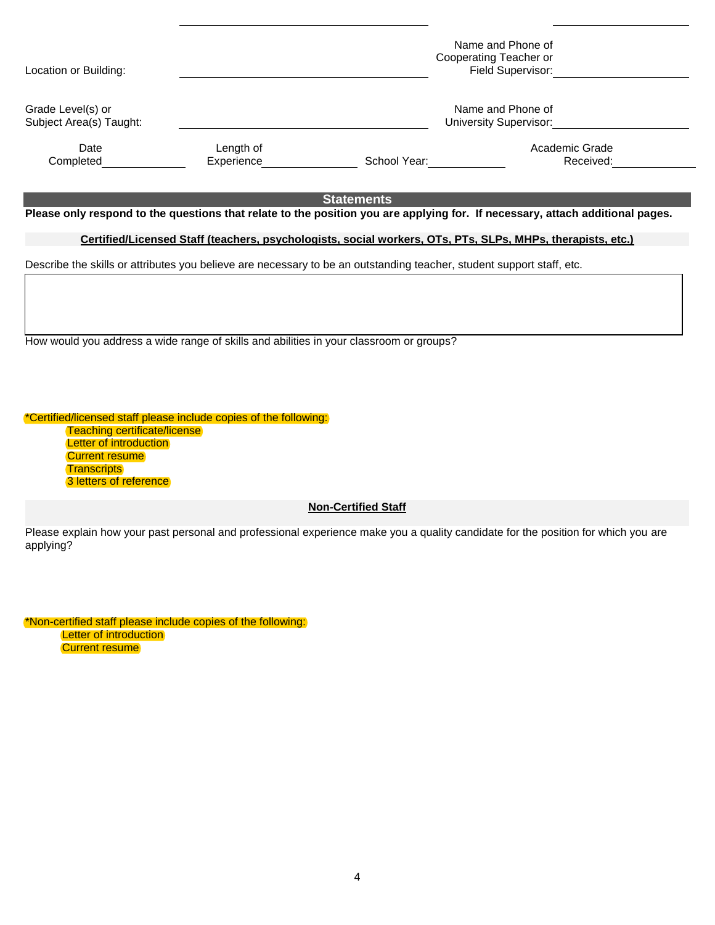| Name and Phone of<br>Grade Level(s) or<br>Subject Area(s) Taught:<br>University Supervisor:                                                                                                                                         |           |  |  |  |  |  |
|-------------------------------------------------------------------------------------------------------------------------------------------------------------------------------------------------------------------------------------|-----------|--|--|--|--|--|
|                                                                                                                                                                                                                                     |           |  |  |  |  |  |
| Academic Grade<br>Length of<br>Date<br>Experience<br>School Year:<br>Completed                                                                                                                                                      | Received: |  |  |  |  |  |
| <b>Statements</b><br>Please only respond to the questions that relate to the position you are applying for. If necessary, attach additional pages.                                                                                  |           |  |  |  |  |  |
| Certified/Licensed Staff (teachers, psychologists, social workers, OTs, PTs, SLPs, MHPs, therapists, etc.)<br>Describe the skills or attributes you believe are necessary to be an outstanding teacher, student support staff, etc. |           |  |  |  |  |  |

How would you address a wide range of skills and abilities in your classroom or groups?

\*Certified/licensed staff please include copies of the following: Teaching certificate/license **Letter of introduction Current resume Transcripts** 3 letters of reference

**Non-Certified Staff**

Please explain how your past personal and professional experience make you a quality candidate for the position for which you are applying?

\*Non-certified staff please include copies of the following: **Letter of introduction Current resume**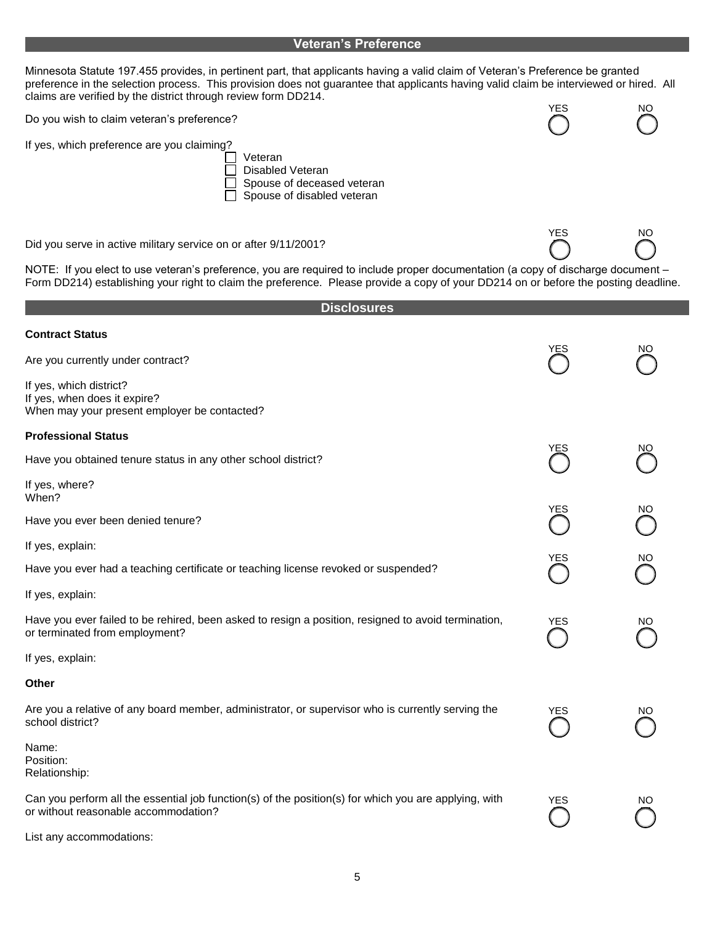### **Veteran's Preference**

Minnesota Statute 197.455 provides, in pertinent part, that applicants having a valid claim of Veteran's Preference be granted preference in the selection process. This provision does not guarantee that applicants having valid claim be interviewed or hired. All claims are verified by the district through review form DD214. YES NO

Do you wish to claim veteran's preference?

If yes, which preference are you claiming?

Veteran Disabled Veteran Spouse of deceased veteran П П Spouse of disabled veteran

Did you serve in active military service on or after 9/11/2001?

NOTE: If you elect to use veteran's preference, you are required to include proper documentation (a copy of discharge document – Form DD214) establishing your right to claim the preference. Please provide a copy of your DD214 on or before the posting deadline.

YES NO

| <b>Disclosures</b>                                                                                                                            |            |    |
|-----------------------------------------------------------------------------------------------------------------------------------------------|------------|----|
| <b>Contract Status</b>                                                                                                                        |            |    |
| Are you currently under contract?                                                                                                             |            | NΟ |
| If yes, which district?<br>If yes, when does it expire?<br>When may your present employer be contacted?                                       |            |    |
| <b>Professional Status</b>                                                                                                                    |            |    |
| Have you obtained tenure status in any other school district?                                                                                 | YES        | ΝO |
| If yes, where?<br>When?                                                                                                                       |            |    |
| Have you ever been denied tenure?                                                                                                             | YES        | NO |
| If yes, explain:                                                                                                                              |            |    |
| Have you ever had a teaching certificate or teaching license revoked or suspended?                                                            | YES        | NO |
| If yes, explain:                                                                                                                              |            |    |
| Have you ever failed to be rehired, been asked to resign a position, resigned to avoid termination,<br>or terminated from employment?         | <b>YES</b> | ΝO |
| If yes, explain:                                                                                                                              |            |    |
| Other                                                                                                                                         |            |    |
| Are you a relative of any board member, administrator, or supervisor who is currently serving the<br>school district?                         | YES        | ΝO |
| Name:<br>Position:<br>Relationship:                                                                                                           |            |    |
| Can you perform all the essential job function(s) of the position(s) for which you are applying, with<br>or without reasonable accommodation? | YES        | NO |
| List any accommodations:                                                                                                                      |            |    |

5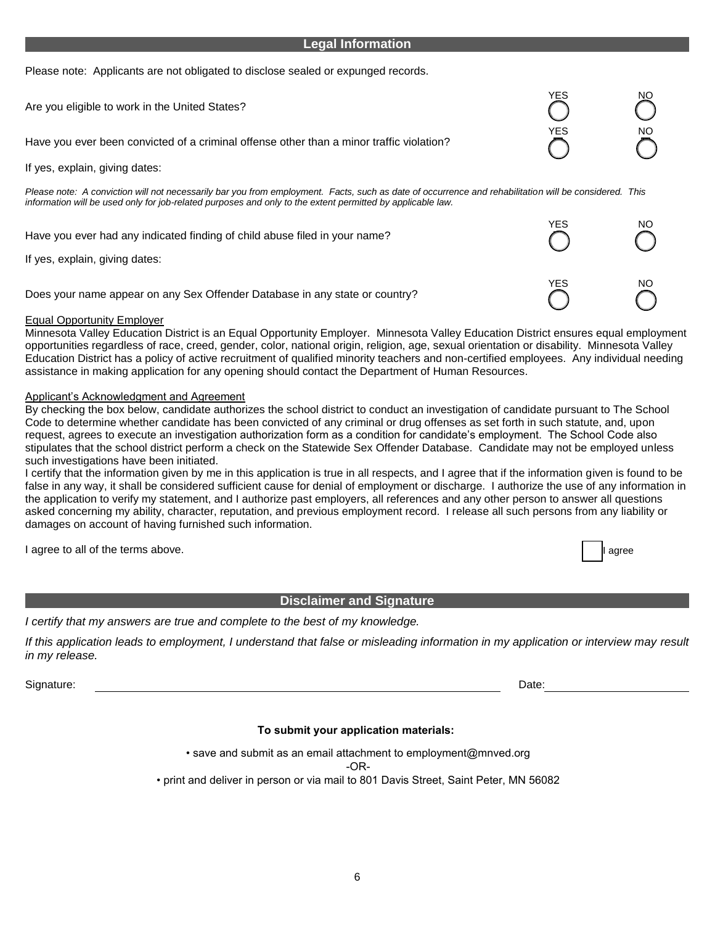#### **Legal Information**

Please note: Applicants are not obligated to disclose sealed or expunged records.

| Are you eligible to work in the United States?                                                                                                                                                                                                                      | YES | ΝO |
|---------------------------------------------------------------------------------------------------------------------------------------------------------------------------------------------------------------------------------------------------------------------|-----|----|
| Have you ever been convicted of a criminal offense other than a minor traffic violation?                                                                                                                                                                            | YES | ΝO |
| If yes, explain, giving dates:                                                                                                                                                                                                                                      |     |    |
| Please note: A conviction will not necessarily bar you from employment. Facts, such as date of occurrence and rehabilitation will be considered. This<br>information will be used only for job-related purposes and only to the extent permitted by applicable law. |     |    |
| Have you ever had any indicated finding of child abuse filed in your name?<br>If yes, explain, giving dates:                                                                                                                                                        | YES | NO |
| Does your name appear on any Sex Offender Database in any state or country?                                                                                                                                                                                         | YES | NO |

#### Equal Opportunity Employer

Minnesota Valley Education District is an Equal Opportunity Employer. Minnesota Valley Education District ensures equal employment opportunities regardless of race, creed, gender, color, national origin, religion, age, sexual orientation or disability. Minnesota Valley Education District has a policy of active recruitment of qualified minority teachers and non-certified employees. Any individual needing assistance in making application for any opening should contact the Department of Human Resources.

#### Applicant's Acknowledgment and Agreement

By checking the box below, candidate authorizes the school district to conduct an investigation of candidate pursuant to The School Code to determine whether candidate has been convicted of any criminal or drug offenses as set forth in such statute, and, upon request, agrees to execute an investigation authorization form as a condition for candidate's employment. The School Code also stipulates that the school district perform a check on the Statewide Sex Offender Database. Candidate may not be employed unless such investigations have been initiated.

I certify that the information given by me in this application is true in all respects, and I agree that if the information given is found to be false in any way, it shall be considered sufficient cause for denial of employment or discharge. I authorize the use of any information in the application to verify my statement, and I authorize past employers, all references and any other person to answer all questions asked concerning my ability, character, reputation, and previous employment record. I release all such persons from any liability or damages on account of having furnished such information.

I agree to all of the terms above. I agree to all of the terms above.

#### **Disclaimer and Signature**

*I certify that my answers are true and complete to the best of my knowledge.* 

*If this application leads to employment, I understand that false or misleading information in my application or interview may result in my release.*

Signature: Date:

#### **To submit your application materials:**

• save and submit as an email attachment to employment@mnved.org

-OR-

• print and deliver in person or via mail to 801 Davis Street, Saint Peter, MN 56082